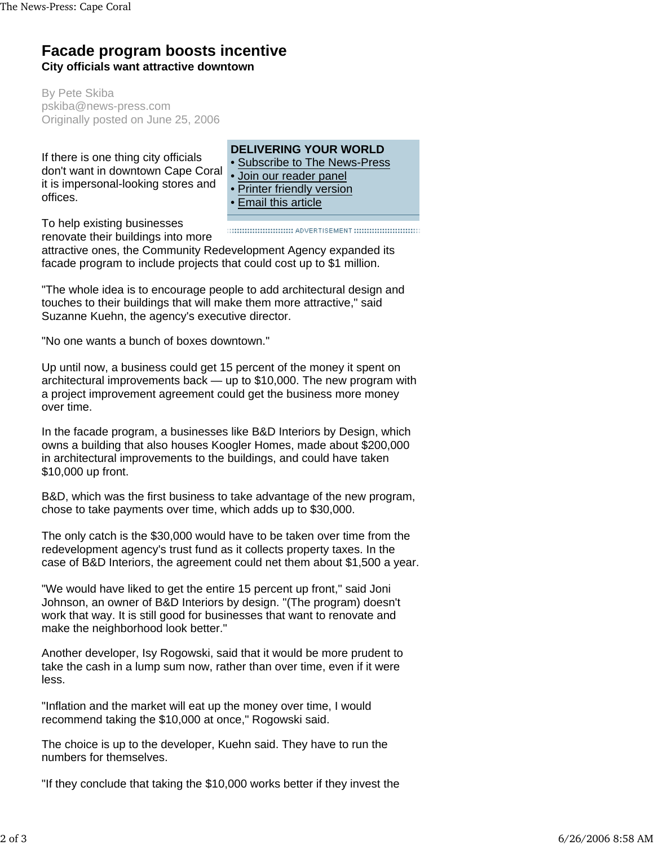## **Facade program boosts incentive City officials want attractive downtown**

By Pete Skiba pskiba@news-press.com Originally posted on June 25, 2006

If there is one thing city officials don't want in downtown Cape Coral it is impersonal-looking stores and offices.

## **DELIVERING YOUR WORLD**

- Subscribe to The News-Press
- Join our reader panel
- Printer friendly version
- Email this article

To help existing businesses renovate their buildings into more

attractive ones, the Community Redevelopment Agency expanded its facade program to include projects that could cost up to \$1 million.

"The whole idea is to encourage people to add architectural design and touches to their buildings that will make them more attractive," said Suzanne Kuehn, the agency's executive director.

"No one wants a bunch of boxes downtown."

Up until now, a business could get 15 percent of the money it spent on architectural improvements back — up to \$10,000. The new program with a project improvement agreement could get the business more money over time.

In the facade program, a businesses like B&D Interiors by Design, which owns a building that also houses Koogler Homes, made about \$200,000 in architectural improvements to the buildings, and could have taken \$10,000 up front.

B&D, which was the first business to take advantage of the new program, chose to take payments over time, which adds up to \$30,000.

The only catch is the \$30,000 would have to be taken over time from the redevelopment agency's trust fund as it collects property taxes. In the case of B&D Interiors, the agreement could net them about \$1,500 a year.

"We would have liked to get the entire 15 percent up front," said Joni Johnson, an owner of B&D Interiors by design. "(The program) doesn't work that way. It is still good for businesses that want to renovate and make the neighborhood look better."

Another developer, Isy Rogowski, said that it would be more prudent to take the cash in a lump sum now, rather than over time, even if it were less.

"Inflation and the market will eat up the money over time, I would recommend taking the \$10,000 at once," Rogowski said.

The choice is up to the developer, Kuehn said. They have to run the numbers for themselves.

"If they conclude that taking the \$10,000 works better if they invest the